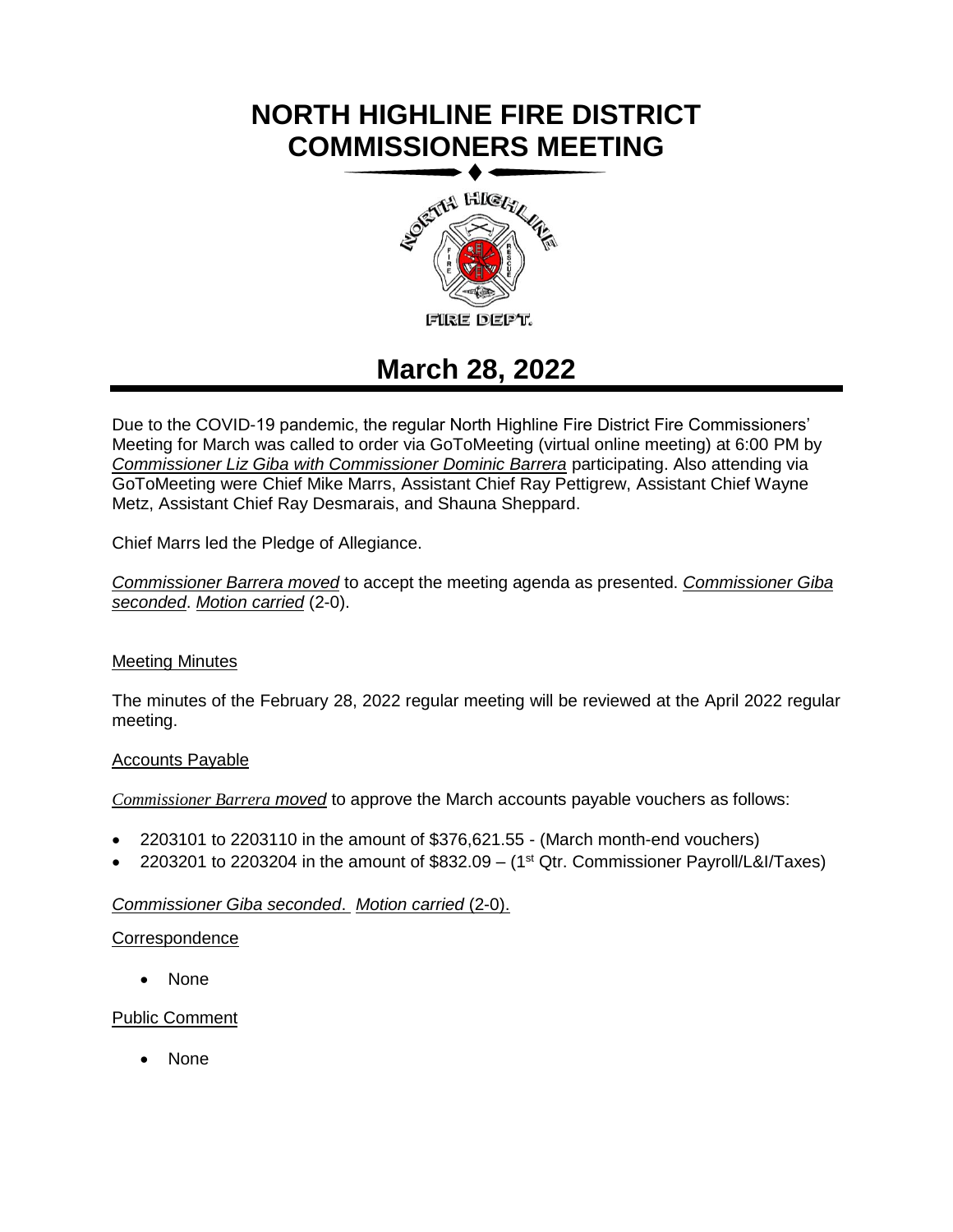# **NORTH HIGHLINE FIRE DISTRICT COMMISSIONERS MEETING**



# **March 28, 2022**

Due to the COVID-19 pandemic, the regular North Highline Fire District Fire Commissioners' Meeting for March was called to order via GoToMeeting (virtual online meeting) at 6:00 PM by *Commissioner Liz Giba with Commissioner Dominic Barrera* participating. Also attending via GoToMeeting were Chief Mike Marrs, Assistant Chief Ray Pettigrew, Assistant Chief Wayne Metz, Assistant Chief Ray Desmarais, and Shauna Sheppard.

Chief Marrs led the Pledge of Allegiance.

*Commissioner Barrera moved* to accept the meeting agenda as presented. *Commissioner Giba seconded*. *Motion carried* (2-0).

# Meeting Minutes

The minutes of the February 28, 2022 regular meeting will be reviewed at the April 2022 regular meeting.

# Accounts Payable

*Commissioner Barrera moved* to approve the March accounts payable vouchers as follows:

- 2203101 to 2203110 in the amount of \$376,621.55 (March month-end vouchers)
- 2203201 to 2203204 in the amount of  $$832.09 (1<sup>st</sup> Qtr. Commissioner Payroll/L&I/Taxes)$

# *Commissioner Giba seconded*. *Motion carried* (2-0).

# **Correspondence**

• None

# Public Comment

• None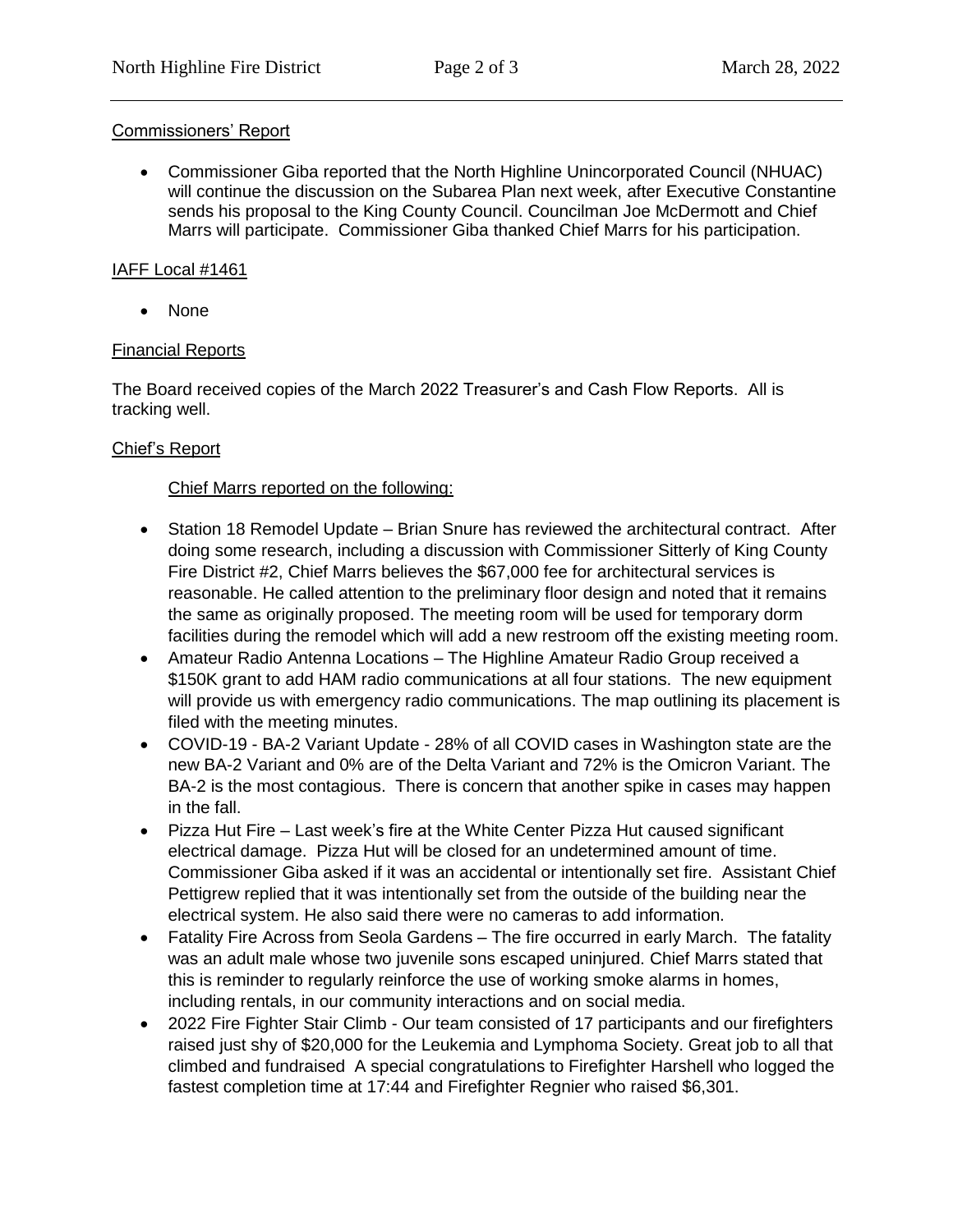#### Commissioners' Report

• Commissioner Giba reported that the North Highline Unincorporated Council (NHUAC) will continue the discussion on the Subarea Plan next week, after Executive Constantine sends his proposal to the King County Council. Councilman Joe McDermott and Chief Marrs will participate. Commissioner Giba thanked Chief Marrs for his participation.

#### IAFF Local #1461

• None

# Financial Reports

The Board received copies of the March 2022 Treasurer's and Cash Flow Reports. All is tracking well.

# Chief's Report

# Chief Marrs reported on the following:

- the same as originally proposed. The meeting room will be used for temporary dorm • Station 18 Remodel Update – Brian Snure has reviewed the architectural contract. After doing some research, including a discussion with Commissioner Sitterly of King County Fire District #2, Chief Marrs believes the \$67,000 fee for architectural services is reasonable. He called attention to the preliminary floor design and noted that it remains facilities during the remodel which will add a new restroom off the existing meeting room.
- Amateur Radio Antenna Locations The Highline Amateur Radio Group received a \$150K grant to add HAM radio communications at all four stations. The new equipment will provide us with emergency radio communications. The map outlining its placement is filed with the meeting minutes.
- COVID-19 BA-2 Variant Update 28% of all COVID cases in Washington state are the new BA-2 Variant and 0% are of the Delta Variant and 72% is the Omicron Variant. The BA-2 is the most contagious. There is concern that another spike in cases may happen in the fall.
- Pizza Hut Fire Last week's fire at the White Center Pizza Hut caused significant electrical damage. Pizza Hut will be closed for an undetermined amount of time. Commissioner Giba asked if it was an accidental or intentionally set fire. Assistant Chief Pettigrew replied that it was intentionally set from the outside of the building near the electrical system. He also said there were no cameras to add information.
- Fatality Fire Across from Seola Gardens The fire occurred in early March. The fatality was an adult male whose two juvenile sons escaped uninjured. Chief Marrs stated that this is reminder to regularly reinforce the use of working smoke alarms in homes, including rentals, in our community interactions and on social media.
- 2022 Fire Fighter Stair Climb Our team consisted of 17 participants and our firefighters raised just shy of \$20,000 for the Leukemia and Lymphoma Society. Great job to all that climbed and fundraised A special congratulations to Firefighter Harshell who logged the fastest completion time at 17:44 and Firefighter Regnier who raised \$6,301.